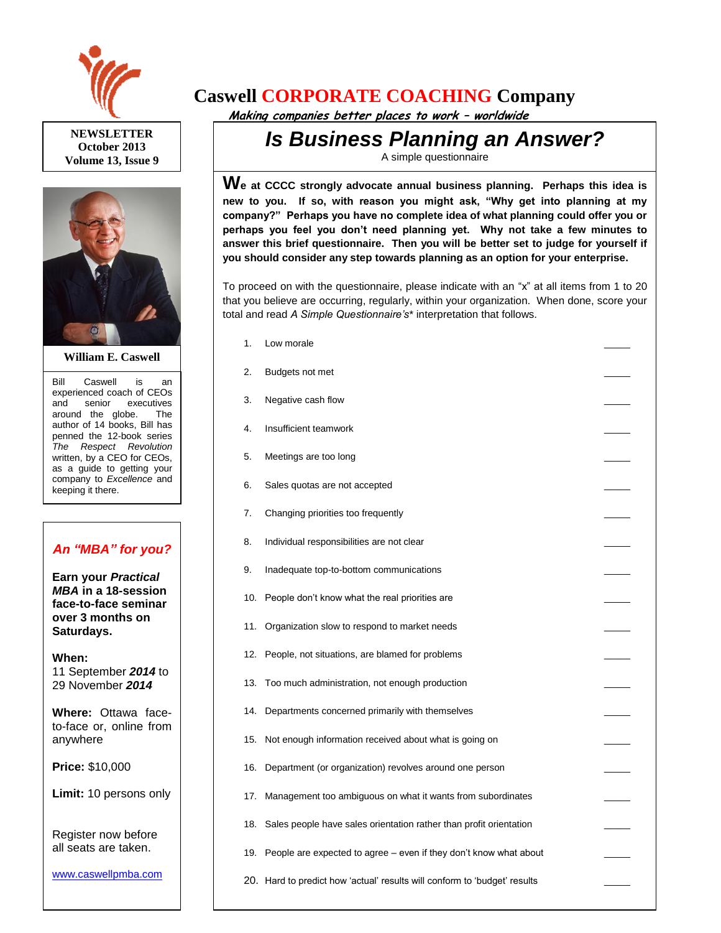

**NEWSLETTER October 2013 Volume 13, Issue 9**



**William E. Caswell**

Bill Caswell is an experienced coach of CEOs and senior executives around the globe. The author of 14 books, Bill has penned the 12-book series *The Respect Revolution* written, by a CEO for CEOs, as a guide to getting your company to *Excellence* and keeping it there.

## *An "MBA" for you?*

**Earn your** *Practical MBA* **in a 18-session face-to-face seminar over 3 months on Saturdays.**

**When:**  11 September *2014* to 29 November *2014*

**Where:** Ottawa faceto-face or, online from anywhere

**Price:** \$10,000

**Limit:** 10 persons only

Register now before all seats are taken.

[www.caswellpmba.com](http://www.caswellpmba.com/)

## **Caswell CORPORATE COACHING Company**

 **Making companies better places to work – worldwide**

## *Is Business Planning an Answer?*

A simple questionnaire

**We at CCCC strongly advocate annual business planning. Perhaps this idea is new to you. If so, with reason you might ask, "Why get into planning at my company?" Perhaps you have no complete idea of what planning could offer you or perhaps you feel you don't need planning yet. Why not take a few minutes to answer this brief questionnaire. Then you will be better set to judge for yourself if you should consider any step towards planning as an option for your enterprise.**

To proceed on with the questionnaire, please indicate with an "x" at all items from 1 to 20 that you believe are occurring, regularly, within your organization. When done, score your total and read *A Simple Questionnaire's*\* interpretation that follows.

- 1. Low morale 2. Budgets not met 3. Negative cash flow 4. Insufficient teamwork 5. Meetings are too long 6. Sales quotas are not accepted 7. Changing priorities too frequently 8. Individual responsibilities are not clear 9. Inadequate top-to-bottom communications 10. People don't know what the real priorities are 11. Organization slow to respond to market needs 12. People, not situations, are blamed for problems 13. Too much administration, not enough production 14. Departments concerned primarily with themselves 15. Not enough information received about what is going on 16. Department (or organization) revolves around one person 17. Management too ambiguous on what it wants from subordinates 18. Sales people have sales orientation rather than profit orientation
	- 19. People are expected to agree even if they don't know what about \_\_\_\_\_
	- 20. Hard to predict how 'actual' results will conform to 'budget' results \_\_\_\_\_